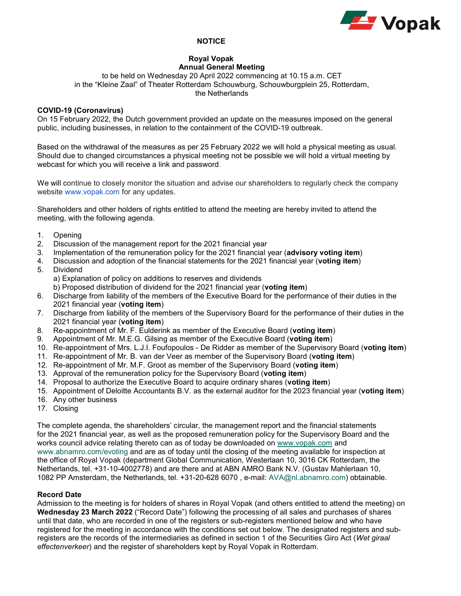

# **NOTICE**

#### **Royal Vopak Annual General Meeting**

to be held on Wednesday 20 April 2022 commencing at 10.15 a.m. CET in the "Kleine Zaal" of Theater Rotterdam Schouwburg, Schouwburgplein 25, Rotterdam, the Netherlands

# **COVID-19 (Coronavirus)**

On 15 February 2022, the Dutch government provided an update on the measures imposed on the general public, including businesses, in relation to the containment of the COVID-19 outbreak.

Based on the withdrawal of the measures as per 25 February 2022 we will hold a physical meeting as usual. Should due to changed circumstances a physical meeting not be possible we will hold a virtual meeting by webcast for which you will receive a link and password.

We will continue to closely monitor the situation and advise our shareholders to regularly check the company website [www.vopak.com f](http://www.vopak.com/)or any updates.

Shareholders and other holders of rights entitled to attend the meeting are hereby invited to attend the meeting, with the following agenda.

- 1. Opening
- 2. Discussion of the management report for the 2021 financial year
- 3. Implementation of the remuneration policy for the 2021 financial year (**advisory voting item**)
- 4. Discussion and adoption of the financial statements for the 2021 financial year (**voting item**)
- 5. Dividend
	- a) Explanation of policy on additions to reserves and dividends
	- b) Proposed distribution of dividend for the 2021 financial year (**voting item**)
- 6. Discharge from liability of the members of the Executive Board for the performance of their duties in the 2021 financial year (**voting item**)
- 7. Discharge from liability of the members of the Supervisory Board for the performance of their duties in the 2021 financial year (**voting item**)
- 8. Re-appointment of Mr. F. Eulderink as member of the Executive Board (**voting item**)
- 9. Appointment of Mr. M.E.G. Gilsing as member of the Executive Board (**voting item**)
- 10. Re-appointment of Mrs. L.J.I. Foufopoulos De Ridder as member of the Supervisory Board (**voting item**)
- 11. Re-appointment of Mr. B. van der Veer as member of the Supervisory Board (**voting item**)
- 12. Re-appointment of Mr. M.F. Groot as member of the Supervisory Board (**voting item**)
- 13. Approval of the remuneration policy for the Supervisory Board (**voting item**)
- 14. Proposal to authorize the Executive Board to acquire ordinary shares (**voting item**)
- 15. Appointment of Deloitte Accountants B.V. as the external auditor for the 2023 financial year (**voting item**)
- 16. Any other business
- 17. Closing

The complete agenda, the shareholders' circular, the management report and the financial statements for the 2021 financial year, as well as the proposed remuneration policy for the Supervisory Board and the works council advice relating thereto can as of today be downloaded on [www.vopak.com](http://www.vopak.com/) and [www.abnamro.com/evoting](http://www.abnamro.com/evoting) and are as of today until the closing of the meeting available for inspection at the office of Royal Vopak (department Global Communication, Westerlaan 10, 3016 CK Rotterdam, the Netherlands, tel. +31-10-4002778) and are there and at ABN AMRO Bank N.V. (Gustav Mahlerlaan 10, 1082 PP Amsterdam, the Netherlands, tel. +31-20-628 6070 , e-mail: [AVA@nl.abnamro.com\)](mailto:AVA@nl.abnamro.com) obtainable.

## **Record Date**

Admission to the meeting is for holders of shares in Royal Vopak (and others entitled to attend the meeting) on **Wednesday 23 March 2022** ("Record Date") following the processing of all sales and purchases of shares until that date, who are recorded in one of the registers or sub-registers mentioned below and who have registered for the meeting in accordance with the conditions set out below. The designated registers and subregisters are the records of the intermediaries as defined in section 1 of the Securities Giro Act (*Wet giraal effectenverkeer*) and the register of shareholders kept by Royal Vopak in Rotterdam.